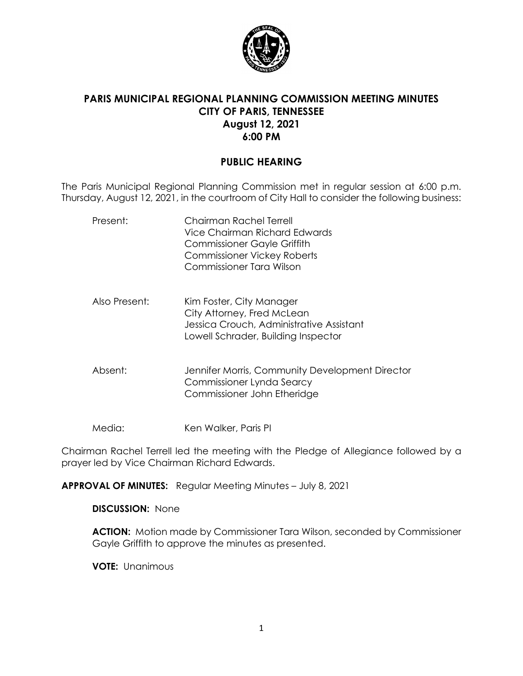

## **PARIS MUNICIPAL REGIONAL PLANNING COMMISSION MEETING MINUTES CITY OF PARIS, TENNESSEE August 12, 2021 6:00 PM**

# **PUBLIC HEARING**

The Paris Municipal Regional Planning Commission met in regular session at 6:00 p.m. Thursday, August 12, 2021, in the courtroom of City Hall to consider the following business:

| Present:      | Chairman Rachel Terrell<br>Vice Chairman Richard Fdwards<br><b>Commissioner Gayle Griffith</b><br><b>Commissioner Vickey Roberts</b><br>Commissioner Tara Wilson |
|---------------|------------------------------------------------------------------------------------------------------------------------------------------------------------------|
| Also Present: | Kim Foster, City Manager<br>City Attorney, Fred McLean<br>Jessica Crouch, Administrative Assistant<br>Lowell Schrader, Building Inspector                        |
| Absent:       | Jennifer Morris, Community Development Director<br>Commissioner Lynda Searcy                                                                                     |

Media: Ken Walker, Paris PI

Chairman Rachel Terrell led the meeting with the Pledge of Allegiance followed by a prayer led by Vice Chairman Richard Edwards.

Commissioner John Etheridge

**APPROVAL OF MINUTES:** Regular Meeting Minutes – July 8, 2021

**DISCUSSION:** None

**ACTION:** Motion made by Commissioner Tara Wilson, seconded by Commissioner Gayle Griffith to approve the minutes as presented.

**VOTE:** Unanimous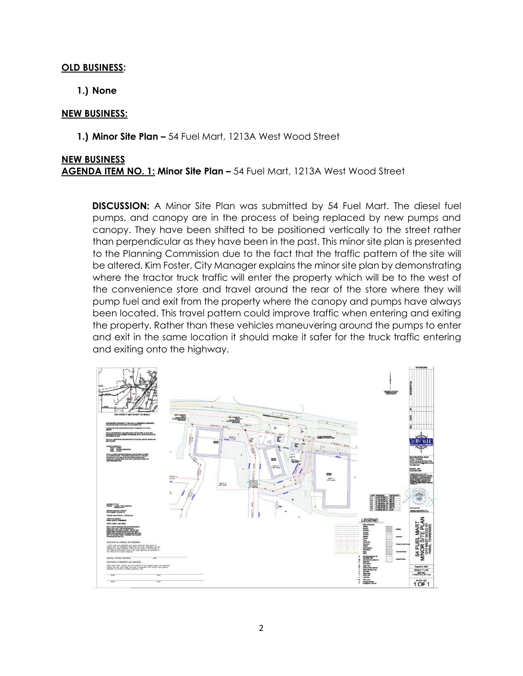### **OLD BUSINESS:**

### **1.) None**

#### **NEW BUSINESS:**

**1.) Minor Site Plan –** 54 Fuel Mart, 1213A West Wood Street

## **NEW BUSINESS AGENDA ITEM NO. 1: Minor Site Plan –** 54 Fuel Mart, 1213A West Wood Street

**DISCUSSION:** A Minor Site Plan was submitted by 54 Fuel Mart. The diesel fuel pumps, and canopy are in the process of being replaced by new pumps and canopy. They have been shifted to be positioned vertically to the street rather than perpendicular as they have been in the past. This minor site plan is presented to the Planning Commission due to the fact that the traffic pattern of the site will be altered. Kim Foster, City Manager explains the minor site plan by demonstrating where the tractor truck traffic will enter the property which will be to the west of the convenience store and travel around the rear of the store where they will pump fuel and exit from the property where the canopy and pumps have always been located. This travel pattern could improve traffic when entering and exiting the property. Rather than these vehicles maneuvering around the pumps to enter and exit in the same location it should make it safer for the truck traffic entering and exiting onto the highway.